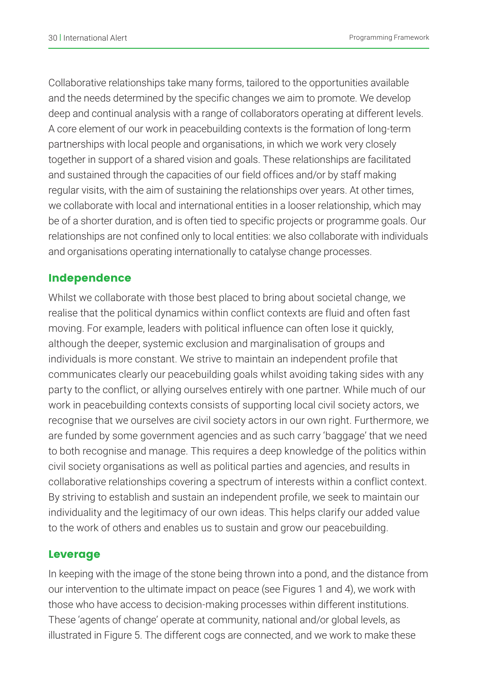Collaborative relationships take many forms, tailored to the opportunities available and the needs determined by the specific changes we aim to promote. We develop deep and continual analysis with a range of collaborators operating at different levels. A core element of our work in peacebuilding contexts is the formation of long-term partnerships with local people and organisations, in which we work very closely together in support of a shared vision and goals. These relationships are facilitated and sustained through the capacities of our field offices and/or by staff making regular visits, with the aim of sustaining the relationships over years. At other times, we collaborate with local and international entities in a looser relationship, which may be of a shorter duration, and is often tied to specific projects or programme goals. Our relationships are not confined only to local entities: we also collaborate with individuals and organisations operating internationally to catalyse change processes.

### Independence

Whilst we collaborate with those best placed to bring about societal change, we realise that the political dynamics within conflict contexts are fluid and often fast moving. For example, leaders with political influence can often lose it quickly, although the deeper, systemic exclusion and marginalisation of groups and individuals is more constant. We strive to maintain an independent profile that communicates clearly our peacebuilding goals whilst avoiding taking sides with any party to the conflict, or allying ourselves entirely with one partner. While much of our work in peacebuilding contexts consists of supporting local civil society actors, we recognise that we ourselves are civil society actors in our own right. Furthermore, we are funded by some government agencies and as such carry 'baggage' that we need to both recognise and manage. This requires a deep knowledge of the politics within civil society organisations as well as political parties and agencies, and results in collaborative relationships covering a spectrum of interests within a conflict context. By striving to establish and sustain an independent profile, we seek to maintain our individuality and the legitimacy of our own ideas. This helps clarify our added value to the work of others and enables us to sustain and grow our peacebuilding.

#### Leverage

In keeping with the image of the stone being thrown into a pond, and the distance from our intervention to the ultimate impact on peace (see Figures 1 and 4), we work with those who have access to decision-making processes within different institutions. These 'agents of change' operate at community, national and/or global levels, as illustrated in Figure 5. The different cogs are connected, and we work to make these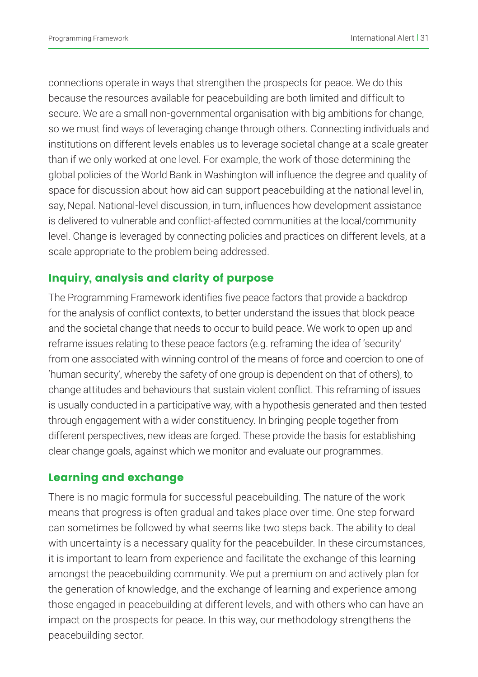connections operate in ways that strengthen the prospects for peace. We do this because the resources available for peacebuilding are both limited and difficult to secure. We are a small non-governmental organisation with big ambitions for change, so we must find ways of leveraging change through others. Connecting individuals and institutions on different levels enables us to leverage societal change at a scale greater than if we only worked at one level. For example, the work of those determining the global policies of the World Bank in Washington will influence the degree and quality of space for discussion about how aid can support peacebuilding at the national level in, say, Nepal. National-level discussion, in turn, influences how development assistance is delivered to vulnerable and conflict-affected communities at the local/community level. Change is leveraged by connecting policies and practices on different levels, at a scale appropriate to the problem being addressed.

## Inquiry, analysis and clarity of purpose

The Programming Framework identifies five peace factors that provide a backdrop for the analysis of conflict contexts, to better understand the issues that block peace and the societal change that needs to occur to build peace. We work to open up and reframe issues relating to these peace factors (e.g. reframing the idea of 'security' from one associated with winning control of the means of force and coercion to one of 'human security', whereby the safety of one group is dependent on that of others), to change attitudes and behaviours that sustain violent conflict. This reframing of issues is usually conducted in a participative way, with a hypothesis generated and then tested through engagement with a wider constituency. In bringing people together from different perspectives, new ideas are forged. These provide the basis for establishing clear change goals, against which we monitor and evaluate our programmes.

#### Learning and exchange

There is no magic formula for successful peacebuilding. The nature of the work means that progress is often gradual and takes place over time. One step forward can sometimes be followed by what seems like two steps back. The ability to deal with uncertainty is a necessary quality for the peacebuilder. In these circumstances, it is important to learn from experience and facilitate the exchange of this learning amongst the peacebuilding community. We put a premium on and actively plan for the generation of knowledge, and the exchange of learning and experience among those engaged in peacebuilding at different levels, and with others who can have an impact on the prospects for peace. In this way, our methodology strengthens the peacebuilding sector.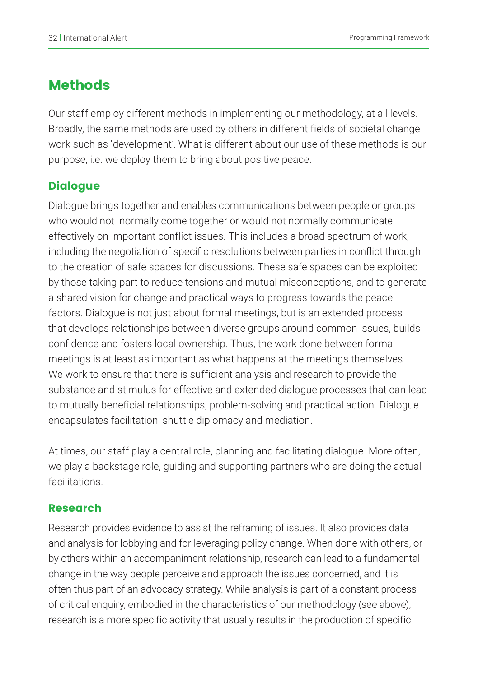# Methods

Our staff employ different methods in implementing our methodology, at all levels. Broadly, the same methods are used by others in different fields of societal change work such as 'development'. What is different about our use of these methods is our purpose, i.e. we deploy them to bring about positive peace.

# **Dialogue**

Dialogue brings together and enables communications between people or groups who would not normally come together or would not normally communicate effectively on important conflict issues. This includes a broad spectrum of work, including the negotiation of specific resolutions between parties in conflict through to the creation of safe spaces for discussions. These safe spaces can be exploited by those taking part to reduce tensions and mutual misconceptions, and to generate a shared vision for change and practical ways to progress towards the peace factors. Dialogue is not just about formal meetings, but is an extended process that develops relationships between diverse groups around common issues, builds confidence and fosters local ownership. Thus, the work done between formal meetings is at least as important as what happens at the meetings themselves. We work to ensure that there is sufficient analysis and research to provide the substance and stimulus for effective and extended dialogue processes that can lead to mutually beneficial relationships, problem-solving and practical action. Dialogue encapsulates facilitation, shuttle diplomacy and mediation.

At times, our staff play a central role, planning and facilitating dialogue. More often, we play a backstage role, guiding and supporting partners who are doing the actual facilitations.

## Research

Research provides evidence to assist the reframing of issues. It also provides data and analysis for lobbying and for leveraging policy change. When done with others, or by others within an accompaniment relationship, research can lead to a fundamental change in the way people perceive and approach the issues concerned, and it is often thus part of an advocacy strategy. While analysis is part of a constant process of critical enquiry, embodied in the characteristics of our methodology (see above), research is a more specific activity that usually results in the production of specific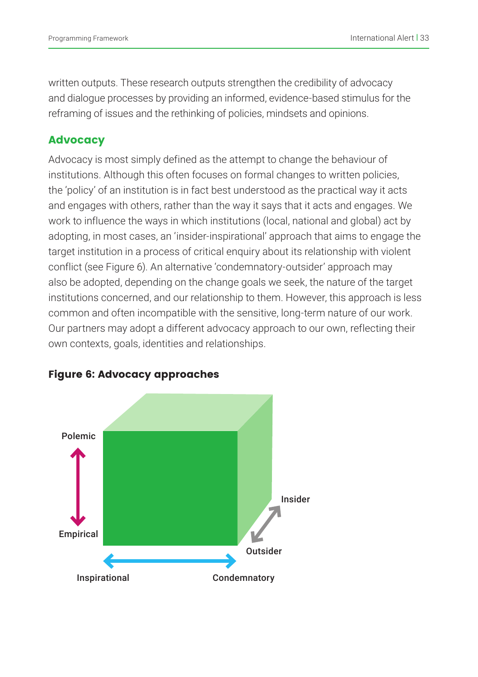written outputs. These research outputs strengthen the credibility of advocacy and dialogue processes by providing an informed, evidence-based stimulus for the reframing of issues and the rethinking of policies, mindsets and opinions.

#### **Advocacy**

Advocacy is most simply defined as the attempt to change the behaviour of institutions. Although this often focuses on formal changes to written policies, the 'policy' of an institution is in fact best understood as the practical way it acts and engages with others, rather than the way it says that it acts and engages. We work to influence the ways in which institutions (local, national and global) act by adopting, in most cases, an 'insider-inspirational' approach that aims to engage the target institution in a process of critical enquiry about its relationship with violent conflict (see Figure 6). An alternative 'condemnatory-outsider' approach may also be adopted, depending on the change goals we seek, the nature of the target institutions concerned, and our relationship to them. However, this approach is less common and often incompatible with the sensitive, long-term nature of our work. Our partners may adopt a different advocacy approach to our own, reflecting their own contexts, goals, identities and relationships.



#### Figure 6: Advocacy approaches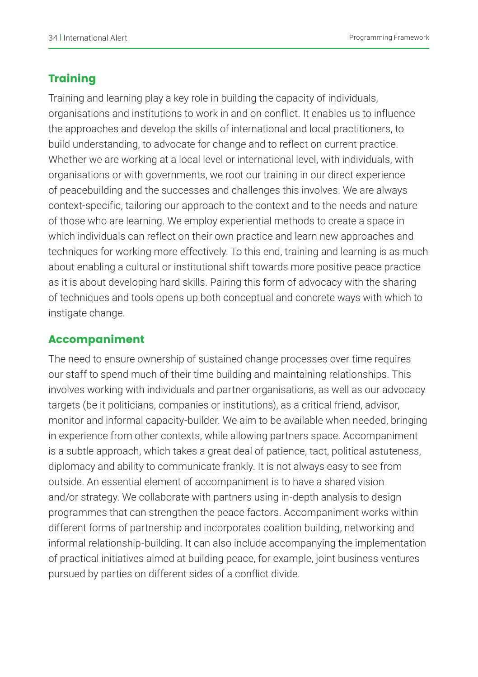### **Training**

Training and learning play a key role in building the capacity of individuals, organisations and institutions to work in and on conflict. It enables us to influence the approaches and develop the skills of international and local practitioners, to build understanding, to advocate for change and to reflect on current practice. Whether we are working at a local level or international level, with individuals, with organisations or with governments, we root our training in our direct experience of peacebuilding and the successes and challenges this involves. We are always context-specific, tailoring our approach to the context and to the needs and nature of those who are learning. We employ experiential methods to create a space in which individuals can reflect on their own practice and learn new approaches and techniques for working more effectively. To this end, training and learning is as much about enabling a cultural or institutional shift towards more positive peace practice as it is about developing hard skills. Pairing this form of advocacy with the sharing of techniques and tools opens up both conceptual and concrete ways with which to instigate change.

#### Accompaniment

The need to ensure ownership of sustained change processes over time requires our staff to spend much of their time building and maintaining relationships. This involves working with individuals and partner organisations, as well as our advocacy targets (be it politicians, companies or institutions), as a critical friend, advisor, monitor and informal capacity-builder. We aim to be available when needed, bringing in experience from other contexts, while allowing partners space. Accompaniment is a subtle approach, which takes a great deal of patience, tact, political astuteness, diplomacy and ability to communicate frankly. It is not always easy to see from outside. An essential element of accompaniment is to have a shared vision and/or strategy. We collaborate with partners using in-depth analysis to design programmes that can strengthen the peace factors. Accompaniment works within different forms of partnership and incorporates coalition building, networking and informal relationship-building. It can also include accompanying the implementation of practical initiatives aimed at building peace, for example, joint business ventures pursued by parties on different sides of a conflict divide.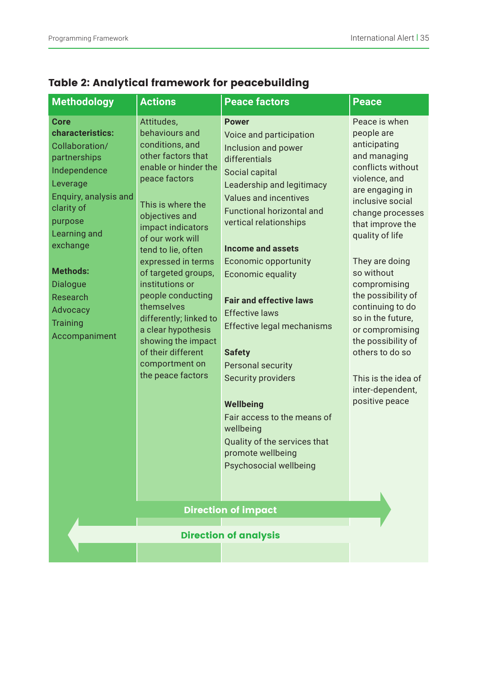| <b>Methodology</b>                                                                                                                                                                                                                                                     | <b>Actions</b>                                                                                                                                                                                                                                                                                                                                                                                                                                             | <b>Peace factors</b>                                                                                                                                                                                                                                                                                                                                                                                                                                                                                                                                                                        | <b>Peace</b>                                                                                                                                                                                                                                                                                                                                                                                                                                |
|------------------------------------------------------------------------------------------------------------------------------------------------------------------------------------------------------------------------------------------------------------------------|------------------------------------------------------------------------------------------------------------------------------------------------------------------------------------------------------------------------------------------------------------------------------------------------------------------------------------------------------------------------------------------------------------------------------------------------------------|---------------------------------------------------------------------------------------------------------------------------------------------------------------------------------------------------------------------------------------------------------------------------------------------------------------------------------------------------------------------------------------------------------------------------------------------------------------------------------------------------------------------------------------------------------------------------------------------|---------------------------------------------------------------------------------------------------------------------------------------------------------------------------------------------------------------------------------------------------------------------------------------------------------------------------------------------------------------------------------------------------------------------------------------------|
| Core<br>characteristics:<br>Collaboration/<br>partnerships<br>Independence<br>Leverage<br>Enquiry, analysis and<br>clarity of<br>purpose<br>Learning and<br>exchange<br>Methods:<br><b>Dialogue</b><br>Research<br><b>Advocacy</b><br><b>Training</b><br>Accompaniment | Attitudes,<br>behaviours and<br>conditions, and<br>other factors that<br>enable or hinder the<br>peace factors<br>This is where the<br>objectives and<br>impact indicators<br>of our work will<br>tend to lie, often<br>expressed in terms<br>of targeted groups,<br>institutions or<br>people conducting<br>themselves<br>differently; linked to<br>a clear hypothesis<br>showing the impact<br>of their different<br>comportment on<br>the peace factors | <b>Power</b><br>Voice and participation<br>Inclusion and power<br>differentials<br>Social capital<br>Leadership and legitimacy<br>Values and incentives<br><b>Functional horizontal and</b><br>vertical relationships<br><b>Income and assets</b><br>Economic opportunity<br>Economic equality<br><b>Fair and effective laws</b><br><b>Effective laws</b><br>Effective legal mechanisms<br><b>Safety</b><br>Personal security<br>Security providers<br>Wellbeing<br>Fair access to the means of<br>wellbeing<br>Quality of the services that<br>promote wellbeing<br>Psychosocial wellbeing | Peace is when<br>people are<br>anticipating<br>and managing<br>conflicts without<br>violence, and<br>are engaging in<br>inclusive social<br>change processes<br>that improve the<br>quality of life<br>They are doing<br>so without<br>compromising<br>the possibility of<br>continuing to do<br>so in the future.<br>or compromising<br>the possibility of<br>others to do so<br>This is the idea of<br>inter-dependent,<br>positive peace |
| <b>Direction of impact</b>                                                                                                                                                                                                                                             |                                                                                                                                                                                                                                                                                                                                                                                                                                                            |                                                                                                                                                                                                                                                                                                                                                                                                                                                                                                                                                                                             |                                                                                                                                                                                                                                                                                                                                                                                                                                             |
| <b>Direction of analysis</b>                                                                                                                                                                                                                                           |                                                                                                                                                                                                                                                                                                                                                                                                                                                            |                                                                                                                                                                                                                                                                                                                                                                                                                                                                                                                                                                                             |                                                                                                                                                                                                                                                                                                                                                                                                                                             |
|                                                                                                                                                                                                                                                                        |                                                                                                                                                                                                                                                                                                                                                                                                                                                            |                                                                                                                                                                                                                                                                                                                                                                                                                                                                                                                                                                                             |                                                                                                                                                                                                                                                                                                                                                                                                                                             |

# Table 2: Analytical framework for peacebuilding